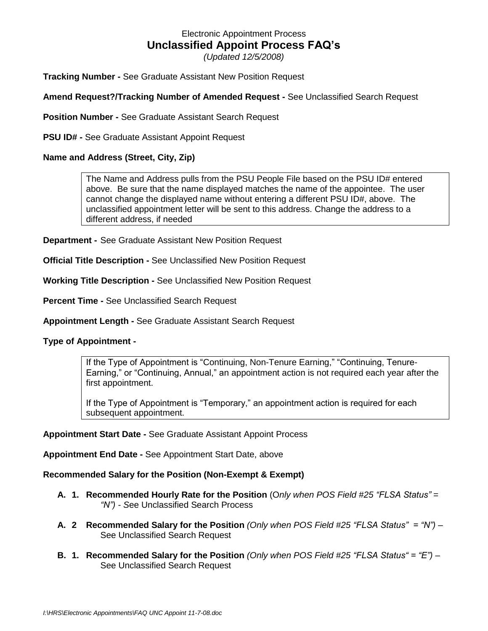# Electronic Appointment Process **Unclassified Appoint Process FAQ's**

*(Updated 12/5/2008)*

**Tracking Number -** See Graduate Assistant New Position Request

# **Amend Request?/Tracking Number of Amended Request -** See Unclassified Search Request

**Position Number -** See Graduate Assistant Search Request

**PSU ID# -** See Graduate Assistant Appoint Request

# **Name and Address (Street, City, Zip)**

The Name and Address pulls from the PSU People File based on the PSU ID# entered above. Be sure that the name displayed matches the name of the appointee. The user cannot change the displayed name without entering a different PSU ID#, above. The unclassified appointment letter will be sent to this address. Change the address to a different address, if needed

**Department -** See Graduate Assistant New Position Request

**Official Title Description -** See Unclassified New Position Request

**Working Title Description -** See Unclassified New Position Request

**Percent Time -** See Unclassified Search Request

**Appointment Length -** See Graduate Assistant Search Request

## **Type of Appointment -**

If the Type of Appointment is "Continuing, Non-Tenure Earning," "Continuing, Tenure-Earning," or "Continuing, Annual," an appointment action is not required each year after the first appointment.

If the Type of Appointment is "Temporary," an appointment action is required for each subsequent appointment.

## **Appointment Start Date -** See Graduate Assistant Appoint Process

**Appointment End Date -** See Appointment Start Date, above

## **Recommended Salary for the Position (Non-Exempt & Exempt)**

- **A. 1. Recommended Hourly Rate for the Position** (O*nly when POS Field #25 "FLSA Status" = "N") - S*ee Unclassified Search Process
- **A. 2 Recommended Salary for the Position** *(Only when POS Field #25 "FLSA Status" = "N")* See Unclassified Search Request
- **B. 1. Recommended Salary for the Position** *(Only when POS Field #25 "FLSA Status" = "E") –* See Unclassified Search Request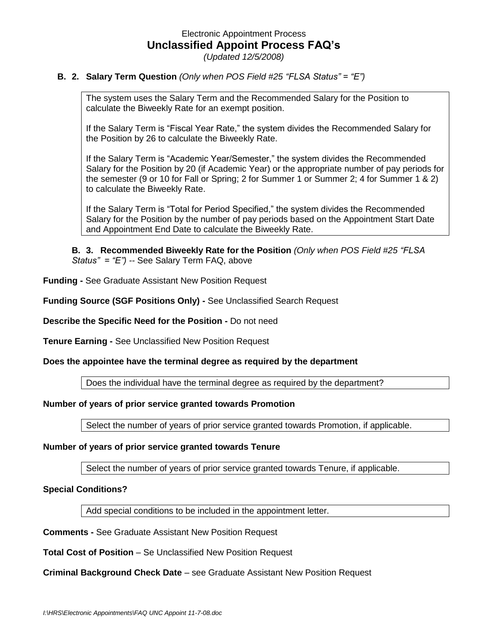# Electronic Appointment Process **Unclassified Appoint Process FAQ's** *(Updated 12/5/2008)*

#### **B. 2. Salary Term Question** *(Only when POS Field #25 "FLSA Status" = "E")*

The system uses the Salary Term and the Recommended Salary for the Position to calculate the Biweekly Rate for an exempt position.

If the Salary Term is "Fiscal Year Rate," the system divides the Recommended Salary for the Position by 26 to calculate the Biweekly Rate.

If the Salary Term is "Academic Year/Semester," the system divides the Recommended Salary for the Position by 20 (if Academic Year) or the appropriate number of pay periods for the semester (9 or 10 for Fall or Spring; 2 for Summer 1 or Summer 2; 4 for Summer 1 & 2) to calculate the Biweekly Rate.

If the Salary Term is "Total for Period Specified," the system divides the Recommended Salary for the Position by the number of pay periods based on the Appointment Start Date and Appointment End Date to calculate the Biweekly Rate.

**B. 3. Recommended Biweekly Rate for the Position** *(Only when POS Field #25 "FLSA Status" = "E") --* See Salary Term FAQ, above

**Funding -** See Graduate Assistant New Position Request

**Funding Source (SGF Positions Only) -** See Unclassified Search Request

**Describe the Specific Need for the Position -** Do not need

**Tenure Earning -** See Unclassified New Position Request

**Does the appointee have the terminal degree as required by the department**

Does the individual have the terminal degree as required by the department?

#### **Number of years of prior service granted towards Promotion**

Select the number of years of prior service granted towards Promotion, if applicable.

#### **Number of years of prior service granted towards Tenure**

Select the number of years of prior service granted towards Tenure, if applicable.

#### **Special Conditions?**

Add special conditions to be included in the appointment letter.

**Comments -** See Graduate Assistant New Position Request

**Total Cost of Position - Se Unclassified New Position Request** 

#### **Criminal Background Check Date** – see Graduate Assistant New Position Request